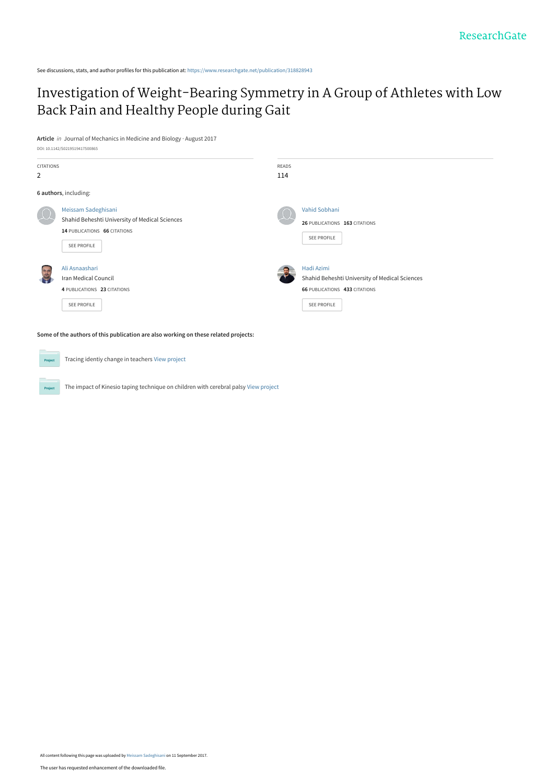See discussions, stats, and author profiles for this publication at: [https://www.researchgate.net/publication/318828943](https://www.researchgate.net/publication/318828943_Investigation_of_Weight-Bearing_Symmetry_in_A_Group_of_Athletes_with_Low_Back_Pain_and_Healthy_People_during_Gait?enrichId=rgreq-1b26b092be6bf52b39128518fbd112a0-XXX&enrichSource=Y292ZXJQYWdlOzMxODgyODk0MztBUzo1MzczMjkwNjYxNTYwMzJAMTUwNTEyMDY0MDQ5OA%3D%3D&el=1_x_2&_esc=publicationCoverPdf)

# [Investigation of Weight-Bearing Symmetry in A Group of Athletes with Low](https://www.researchgate.net/publication/318828943_Investigation_of_Weight-Bearing_Symmetry_in_A_Group_of_Athletes_with_Low_Back_Pain_and_Healthy_People_during_Gait?enrichId=rgreq-1b26b092be6bf52b39128518fbd112a0-XXX&enrichSource=Y292ZXJQYWdlOzMxODgyODk0MztBUzo1MzczMjkwNjYxNTYwMzJAMTUwNTEyMDY0MDQ5OA%3D%3D&el=1_x_3&_esc=publicationCoverPdf) Back Pain and Healthy People during Gait

**Article** in Journal of Mechanics in Medicine and Biology · August 2017

|  |  | DOI: 10.1142/S0219519417500865 |
|--|--|--------------------------------|
|  |  |                                |

Project

| <b>CITATIONS</b><br>2 |                                                                                                                             | READS<br>114 |                                                                                                                     |
|-----------------------|-----------------------------------------------------------------------------------------------------------------------------|--------------|---------------------------------------------------------------------------------------------------------------------|
|                       | 6 authors, including:                                                                                                       |              |                                                                                                                     |
|                       | Meissam Sadeghisani<br>Shahid Beheshti University of Medical Sciences<br>14 PUBLICATIONS 66 CITATIONS<br><b>SEE PROFILE</b> |              | Vahid Sobhani<br>26 PUBLICATIONS 163 CITATIONS<br><b>SEE PROFILE</b>                                                |
| 786                   | Ali Asnaashari<br>Iran Medical Council<br>4 PUBLICATIONS 23 CITATIONS<br><b>SEE PROFILE</b>                                 |              | Hadi Azimi<br>Shahid Beheshti University of Medical Sciences<br><b>66 PUBLICATIONS 433 CITATIONS</b><br>SEE PROFILE |

**Some of the authors of this publication are also working on these related projects:**

Tracing identiy change in teachers [View project](https://www.researchgate.net/project/Tracing-identiy-change-in-teachers?enrichId=rgreq-1b26b092be6bf52b39128518fbd112a0-XXX&enrichSource=Y292ZXJQYWdlOzMxODgyODk0MztBUzo1MzczMjkwNjYxNTYwMzJAMTUwNTEyMDY0MDQ5OA%3D%3D&el=1_x_9&_esc=publicationCoverPdf) Proj

The impact of Kinesio taping technique on children with cerebral palsy [View project](https://www.researchgate.net/project/The-impact-of-Kinesio-taping-technique-on-children-with-cerebral-palsy?enrichId=rgreq-1b26b092be6bf52b39128518fbd112a0-XXX&enrichSource=Y292ZXJQYWdlOzMxODgyODk0MztBUzo1MzczMjkwNjYxNTYwMzJAMTUwNTEyMDY0MDQ5OA%3D%3D&el=1_x_9&_esc=publicationCoverPdf)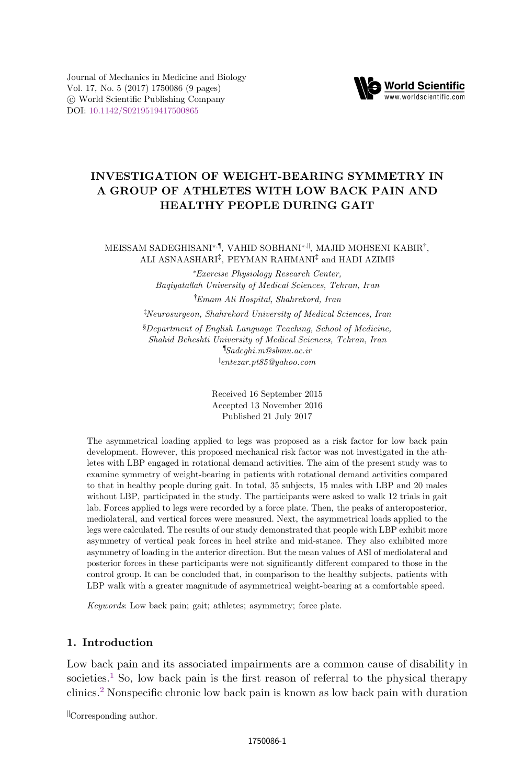Journal of Mechanics in Medicine and Biology Vol. 17, No. 5 (2017) 1750086 (9 pages) *°*<sup>c</sup> World Scientific Publishing Company DOI: [10.1142/S0219519417500865](http://dx.doi.org/10.1142/S0219519417500865)



# INVESTIGATION OF WEIGHT-BEARING SYMMETRY IN A GROUP OF ATHLETES WITH LOW BACK PAIN AND HEALTHY PEOPLE DURING GAIT

#### MEISSAM SADEGHISANI\*<sup>,¶</sup>, VAHID SOBHANI<sup>\*,||</sup>, MAJID MOHSENI KABIR<sup>†</sup>, ALI ASNAASHARI‡, PEYMAN RAHMANI‡ and HADI AZIMI§

\*Exercise Physiology Research Center, Baqiyatallah University of Medical Sciences, Tehran, Iran † Emam Ali Hospital, Shahrekord, Iran

‡ Neurosurgeon, Shahrekord University of Medical Sciences, Iran

§Department of English Language Teaching, School of Medicine, Shahid Beheshti University of Medical Sciences, Tehran, Iran ¶ Sadeghi.m@sbmu.ac.ir ||entezar.pt85@yahoo.com

> Received 16 September 2015 Accepted 13 November 2016 Published 21 July 2017

The asymmetrical loading applied to legs was proposed as a risk factor for low back pain development. However, this proposed mechanical risk factor was not investigated in the athletes with LBP engaged in rotational demand activities. The aim of the present study was to examine symmetry of weight-bearing in patients with rotational demand activities compared to that in healthy people during gait. In total, 35 subjects, 15 males with LBP and 20 males without LBP, participated in the study. The participants were asked to walk 12 trials in gait lab. Forces applied to legs were recorded by a force plate. Then, the peaks of anteroposterior, mediolateral, and vertical forces were measured. Next, the asymmetrical loads applied to the legs were calculated. The results of our study demonstrated that people with LBP exhibit more asymmetry of vertical peak forces in heel strike and mid-stance. They also exhibited more asymmetry of loading in the anterior direction. But the mean values of ASI of mediolateral and posterior forces in these participants were not significantly different compared to those in the control group. It can be concluded that, in comparison to the healthy subjects, patients with LBP walk with a greater magnitude of asymmetrical weight-bearing at a comfortable speed.

Keywords: Low back pain; gait; athletes; asymmetry; force plate.

#### 1. Introduction

Low back pain and its associated impairments are a common cause of disability in societies.<sup>[1](#page-7-0)</sup> So, low back pain is the first reason of referral to the physical therapy clinics.[2](#page-7-0) Nonspecific chronic low back pain is known as low back pain with duration

||Corresponding author.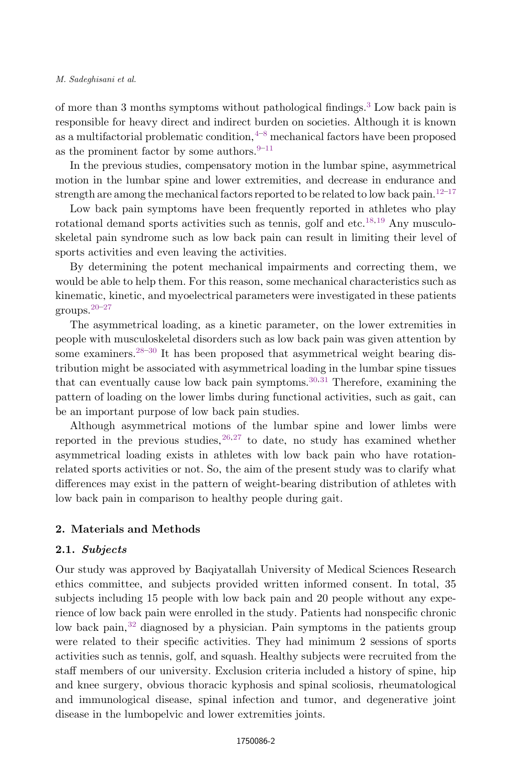#### M. Sadeghisani et al.

of more than 3 months symptoms without pathological findings.[3](#page-7-0) Low back pain is responsible for heavy direct and indirect burden on societies. Although it is known as a multifactorial problematic condition,  $4-8$  $4-8$  $4-8$  mechanical factors have been proposed as the prominent factor by some authors. $9-11$  $9-11$  $9-11$ 

In the previous studies, compensatory motion in the lumbar spine, asymmetrical motion in the lumbar spine and lower extremities, and decrease in endurance and strength are among the mechanical factors reported to be related to low back pain.<sup>[12](#page-7-0)–[17](#page-7-0)</sup>

Low back pain symptoms have been frequently reported in athletes who play rotational demand sports activities such as tennis, golf and etc.<sup>[18](#page-8-0),[19](#page-8-0)</sup> Any musculoskeletal pain syndrome such as low back pain can result in limiting their level of sports activities and even leaving the activities.

By determining the potent mechanical impairments and correcting them, we would be able to help them. For this reason, some mechanical characteristics such as kinematic, kinetic, and myoelectrical parameters were investigated in these patients groups.[20](#page-8-0)–[27](#page-8-0)

The asymmetrical loading, as a kinetic parameter, on the lower extremities in people with musculoskeletal disorders such as low back pain was given attention by some examiners.<sup>[28](#page-8-0)–[30](#page-8-0)</sup> It has been proposed that asymmetrical weight bearing distribution might be associated with asymmetrical loading in the lumbar spine tissues that can eventually cause low back pain symptoms.  $30,31$  Therefore, examining the pattern of loading on the lower limbs during functional activities, such as gait, can be an important purpose of low back pain studies.

Although asymmetrical motions of the lumbar spine and lower limbs were reported in the previous studies,  $26,27$  $26,27$  $26,27$  to date, no study has examined whether asymmetrical loading exists in athletes with low back pain who have rotationrelated sports activities or not. So, the aim of the present study was to clarify what differences may exist in the pattern of weight-bearing distribution of athletes with low back pain in comparison to healthy people during gait.

## 2. Materials and Methods

## 2.1. Subjects

Our study was approved by Baqiyatallah University of Medical Sciences Research ethics committee, and subjects provided written informed consent. In total, 35 subjects including 15 people with low back pain and 20 people without any experience of low back pain were enrolled in the study. Patients had nonspecific chronic low back pain,<sup>[32](#page-8-0)</sup> diagnosed by a physician. Pain symptoms in the patients group were related to their specific activities. They had minimum 2 sessions of sports activities such as tennis, golf, and squash. Healthy subjects were recruited from the staff members of our university. Exclusion criteria included a history of spine, hip and knee surgery, obvious thoracic kyphosis and spinal scoliosis, rheumatological and immunological disease, spinal infection and tumor, and degenerative joint disease in the lumbopelvic and lower extremities joints.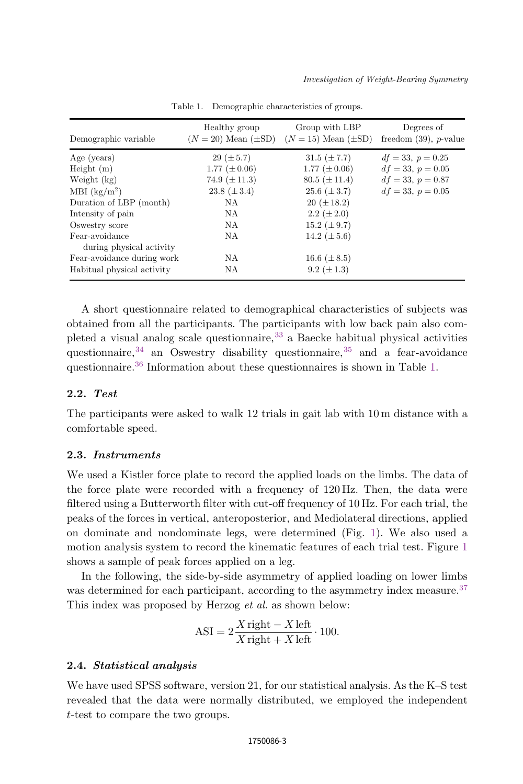<span id="page-3-0"></span>

| Demographic variable                       | Healthy group<br>$(N = 20)$ Mean $(\pm SD)$ | Group with LBP<br>$(N = 15)$ Mean $(\pm SD)$ | Degrees of<br>freedom $(39)$ , <i>p</i> -value |  |  |
|--------------------------------------------|---------------------------------------------|----------------------------------------------|------------------------------------------------|--|--|
| Age (years)                                | $29 (\pm 5.7)$                              | $31.5~(\pm 7.7)$                             | $df = 33, p = 0.25$                            |  |  |
| Height $(m)$                               | 1.77 $(\pm 0.06)$                           | 1.77 $(\pm 0.06)$                            | $df = 33, p = 0.05$                            |  |  |
| Weight (kg)                                | 74.9 $(\pm 11.3)$                           | $80.5 (\pm 11.4)$                            | $df = 33, p = 0.87$                            |  |  |
| MBI $(kg/m^2)$                             | 23.8 $(\pm 3.4)$                            | $25.6~(\pm 3.7)$                             | $df = 33, p = 0.05$                            |  |  |
| Duration of LBP (month)                    | NA                                          | $20 (\pm 18.2)$                              |                                                |  |  |
| Intensity of pain                          | NA                                          | 2.2 $(\pm 2.0)$                              |                                                |  |  |
| Oswestry score                             | NA                                          | 15.2 $(\pm 9.7)$                             |                                                |  |  |
| Fear-avoidance<br>during physical activity | NA                                          | 14.2 $(\pm 5.6)$                             |                                                |  |  |
| Fear-avoidance during work                 | NA                                          | 16.6 $(\pm 8.5)$                             |                                                |  |  |
| Habitual physical activity                 | NA                                          | 9.2 $(\pm 1.3)$                              |                                                |  |  |

Table 1. Demographic characteristics of groups.

A short questionnaire related to demographical characteristics of subjects was obtained from all the participants. The participants with low back pain also completed a visual analog scale questionnaire,  $33$  a Baecke habitual physical activities questionnaire,  $34$  an Oswestry disability questionnaire,  $35$  and a fear-avoidance questionnaire.<sup>[36](#page-9-0)</sup> Information about these questionnaires is shown in Table 1.

#### 2.2. Test

The participants were asked to walk 12 trials in gait lab with 10 m distance with a comfortable speed.

#### 2.3. Instruments

We used a Kistler force plate to record the applied loads on the limbs. The data of the force plate were recorded with a frequency of 120 Hz. Then, the data were filtered using a Butterworth filter with cut-off frequency of 10 Hz. For each trial, the peaks of the forces in vertical, anteroposterior, and Mediolateral directions, applied on dominate and nondominate legs, were determined (Fig. [1](#page-4-0)). We also used a motion analysis system to record the kinematic features of each trial test. Figure [1](#page-4-0) shows a sample of peak forces applied on a leg.

In the following, the side-by-side asymmetry of applied loading on lower limbs was determined for each participant, according to the asymmetry index measure.<sup>[37](#page-9-0)</sup> This index was proposed by Herzog *et al.* as shown below:

$$
ASI = 2\frac{X \text{ right} - X \text{ left}}{X \text{ right} + X \text{ left}} \cdot 100.
$$

## 2.4. Statistical analysis

We have used SPSS software, version 21, for our statistical analysis. As the K–S test revealed that the data were normally distributed, we employed the independent t-test to compare the two groups.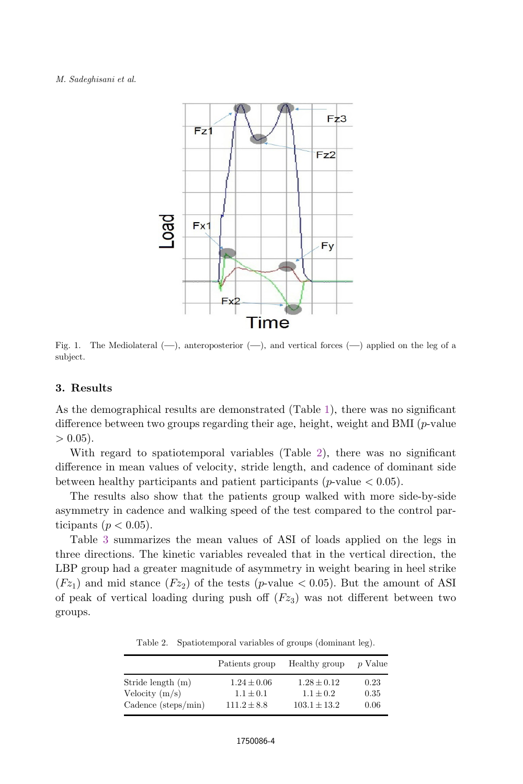#### <span id="page-4-0"></span>M. Sadeghisani et al.



Fig. 1. The Mediolateral  $(-)$ , anteroposterior  $(-)$ , and vertical forces  $(-)$  applied on the leg of a subject.

#### 3. Results

As the demographical results are demonstrated (Table [1](#page-3-0)), there was no significant difference between two groups regarding their age, height, weight and BMI  $(p$ -value  $> 0.05$ ).

With regard to spatiotemporal variables (Table 2), there was no significant difference in mean values of velocity, stride length, and cadence of dominant side between healthy participants and patient participants ( $p$ -value  $< 0.05$ ).

The results also show that the patients group walked with more side-by-side asymmetry in cadence and walking speed of the test compared to the control participants ( $p < 0.05$ ).

Table [3](#page-5-0) summarizes the mean values of ASI of loads applied on the legs in three directions. The kinetic variables revealed that in the vertical direction, the LBP group had a greater magnitude of asymmetry in weight bearing in heel strike  $(Fz_1)$  and mid stance  $(Fz_2)$  of the tests (p-value < 0.05). But the amount of ASI of peak of vertical loading during push of  $(Fz_3)$  was not different between two groups.

Table 2. Spatiotemporal variables of groups (dominant leg).

|                     | Patients group  | Healthy group    | p Value |  |
|---------------------|-----------------|------------------|---------|--|
| Stride length (m)   | $1.24 \pm 0.06$ | $1.28 \pm 0.12$  | 0.23    |  |
| Velocity $(m/s)$    | $1.1 \pm 0.1$   | $1.1 \pm 0.2$    | 0.35    |  |
| Cadence (steps/min) | $111.2 \pm 8.8$ | $103.1 \pm 13.2$ | 0.06    |  |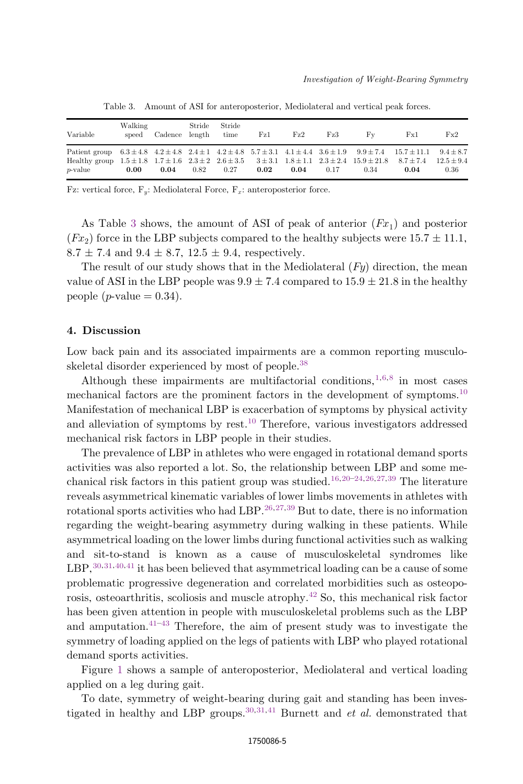<span id="page-5-0"></span>

| Variable                                                                                                                                                                                                                                                                                                                  | Walking<br>speed | Cadence length | Stride | Stride<br>time | $\rm{Fz1}$ | $\operatorname{Fz2}$ | Fz3  | Fv   | Fx1  | Fx2                    |
|---------------------------------------------------------------------------------------------------------------------------------------------------------------------------------------------------------------------------------------------------------------------------------------------------------------------------|------------------|----------------|--------|----------------|------------|----------------------|------|------|------|------------------------|
| Patient group $6.3 \pm 4.8$ $4.2 \pm 4.8$ $2.4 \pm 1$ $4.2 \pm 4.8$ $5.7 \pm 3.1$ $4.1 \pm 4.4$ $3.6 \pm 1.9$ $9.9 \pm 7.4$ $15.7 \pm 11.1$ $9.4 \pm 8.7$<br>Healthy group $1.5 \pm 1.8$ $1.7 \pm 1.6$ $2.3 \pm 2$ $2.6 \pm 3.5$ $3 \pm 3.1$ $1.8 \pm 1.1$ $2.3 \pm 2.4$ $15.9 \pm 21.8$ $8.7 \pm 7.4$<br><i>p</i> -value | 0.00             | 0.04           | 0.82   | 0.27           | 0.02       | 0.04                 | 0.17 | 0.34 | 0.04 | $12.5 \pm 9.4$<br>0.36 |

Table 3. Amount of ASI for anteroposterior, Mediolateral and vertical peak forces.

Fz: vertical force,  $F_y$ : Mediolateral Force,  $F_x$ : anteroposterior force.

As Table 3 shows, the amount of ASI of peak of anterior  $(Fx_1)$  and posterior  $(Fx_2)$  force in the LBP subjects compared to the healthy subjects were 15.7  $\pm$  11.1,  $8.7 \pm 7.4$  and  $9.4 \pm 8.7$ ,  $12.5 \pm 9.4$ , respectively.

The result of our study shows that in the Mediolateral  $(Fy)$  direction, the mean value of ASI in the LBP people was  $9.9 \pm 7.4$  compared to  $15.9 \pm 21.8$  in the healthy people  $(p\text{-value} = 0.34)$ .

#### 4. Discussion

Low back pain and its associated impairments are a common reporting musculo-skeletal disorder experienced by most of people.<sup>[38](#page-9-0)</sup>

Although these impairments are multifactorial conditions,  $1,6,8$  in most cases mechanical factors are the prominent factors in the development of symptoms.[10](#page-7-0) Manifestation of mechanical LBP is exacerbation of symptoms by physical activity and alleviation of symptoms by rest.<sup>[10](#page-7-0)</sup> Therefore, various investigators addressed mechanical risk factors in LBP people in their studies.

The prevalence of LBP in athletes who were engaged in rotational demand sports activities was also reported a lot. So, the relationship between LBP and some me-chanical risk factors in this patient group was studied.<sup>[16](#page-7-0)[,20](#page-8-0)–[24,26,27,](#page-8-0)[39](#page-9-0)</sup> The literature reveals asymmetrical kinematic variables of lower limbs movements in athletes with rotational sports activities who had LBP.  $26,27,39$  $26,27,39$  $26,27,39$  $26,27,39$  $26,27,39$  But to date, there is no information regarding the weight-bearing asymmetry during walking in these patients. While asymmetrical loading on the lower limbs during functional activities such as walking and sit-to-stand is known as a cause of musculoskeletal syndromes like  $LBP$ ,  $30,31,40,41$  $30,31,40,41$  it has been believed that asymmetrical loading can be a cause of some problematic progressive degeneration and correlated morbidities such as osteoporosis, osteoarthritis, scoliosis and muscle atrophy[.42](#page-9-0) So, this mechanical risk factor has been given attention in people with musculoskeletal problems such as the LBP and amputation. $41-43$  $41-43$  $41-43$  Therefore, the aim of present study was to investigate the symmetry of loading applied on the legs of patients with LBP who played rotational demand sports activities.

Figure [1](#page-4-0) shows a sample of anteroposterior, Mediolateral and vertical loading applied on a leg during gait.

To date, symmetry of weight-bearing during gait and standing has been inves-tigated in healthy and LBP groups.<sup>[30](#page-8-0),[31](#page-8-0),[41](#page-9-0)</sup> Burnett and *et al.* demonstrated that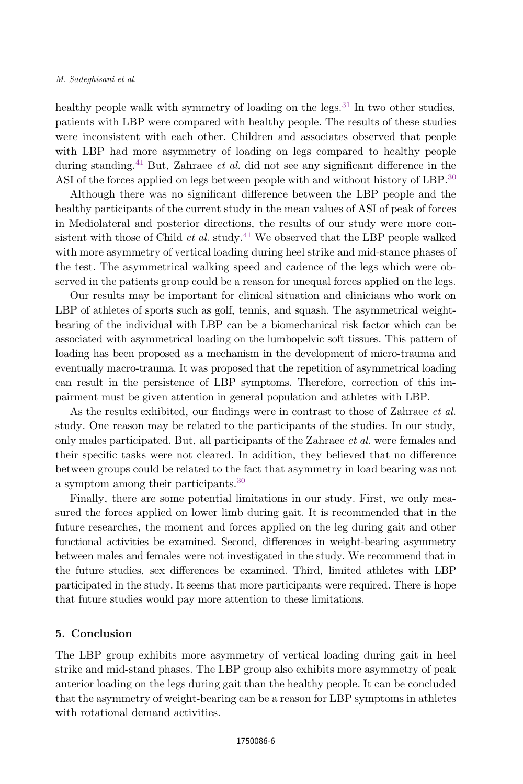healthy people walk with symmetry of loading on the legs.<sup>[31](#page-8-0)</sup> In two other studies, patients with LBP were compared with healthy people. The results of these studies were inconsistent with each other. Children and associates observed that people with LBP had more asymmetry of loading on legs compared to healthy people during standing.<sup>[41](#page-9-0)</sup> But, Zahraee *et al.* did not see any significant difference in the ASI of the forces applied on legs between people with and without history of LBP.<sup>[30](#page-8-0)</sup>

Although there was no significant difference between the LBP people and the healthy participants of the current study in the mean values of ASI of peak of forces in Mediolateral and posterior directions, the results of our study were more consistent with those of Child *et al.* study.<sup>[41](#page-9-0)</sup> We observed that the LBP people walked with more asymmetry of vertical loading during heel strike and mid-stance phases of the test. The asymmetrical walking speed and cadence of the legs which were observed in the patients group could be a reason for unequal forces applied on the legs.

Our results may be important for clinical situation and clinicians who work on LBP of athletes of sports such as golf, tennis, and squash. The asymmetrical weightbearing of the individual with LBP can be a biomechanical risk factor which can be associated with asymmetrical loading on the lumbopelvic soft tissues. This pattern of loading has been proposed as a mechanism in the development of micro-trauma and eventually macro-trauma. It was proposed that the repetition of asymmetrical loading can result in the persistence of LBP symptoms. Therefore, correction of this impairment must be given attention in general population and athletes with LBP.

As the results exhibited, our findings were in contrast to those of Zahraee et al. study. One reason may be related to the participants of the studies. In our study, only males participated. But, all participants of the Zahraee et al. were females and their specific tasks were not cleared. In addition, they believed that no difference between groups could be related to the fact that asymmetry in load bearing was not a symptom among their participants.[30](#page-8-0)

Finally, there are some potential limitations in our study. First, we only measured the forces applied on lower limb during gait. It is recommended that in the future researches, the moment and forces applied on the leg during gait and other functional activities be examined. Second, differences in weight-bearing asymmetry between males and females were not investigated in the study. We recommend that in the future studies, sex differences be examined. Third, limited athletes with LBP participated in the study. It seems that more participants were required. There is hope that future studies would pay more attention to these limitations.

## 5. Conclusion

The LBP group exhibits more asymmetry of vertical loading during gait in heel strike and mid-stand phases. The LBP group also exhibits more asymmetry of peak anterior loading on the legs during gait than the healthy people. It can be concluded that the asymmetry of weight-bearing can be a reason for LBP symptoms in athletes with rotational demand activities.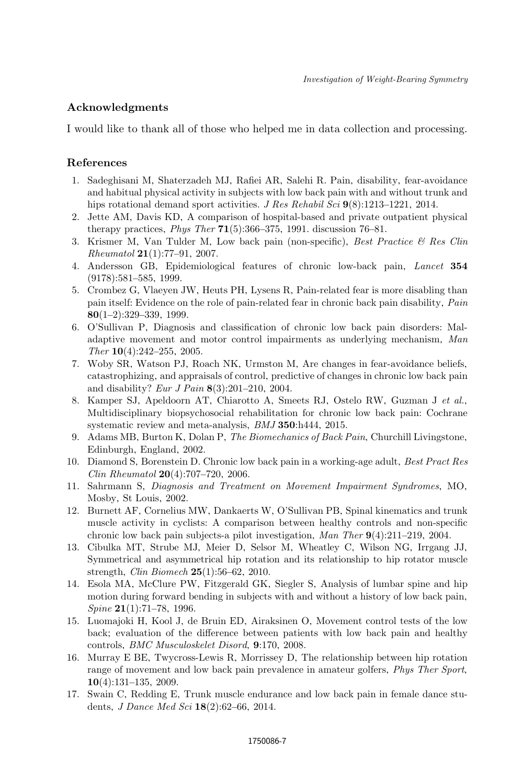# <span id="page-7-0"></span>Acknowledgments

I would like to thank all of those who helped me in data collection and processing.

# References

- 1. Sadeghisani M, Shaterzadeh MJ, Rafiei AR, Salehi R. Pain, disability, fear-avoidance and habitual physical activity in subjects with low back pain with and without trunk and hips rotational demand sport activities. J Res Rehabil Sci  $9(8)$ :1213–1221, 2014.
- 2. Jette AM, Davis KD, A comparison of hospital-based and private outpatient physical therapy practices, *Phys Ther*  $71(5):366-375$ , 1991. discussion  $76-81$ .
- 3. Krismer M, Van Tulder M, Low back pain (non-specific), Best Practice & Res Clin Rheumatol 21(1):77–91, 2007.
- 4. Andersson GB, Epidemiological features of chronic low-back pain, Lancet 354 (9178):581–585, 1999.
- 5. Crombez G, Vlaeyen JW, Heuts PH, Lysens R, Pain-related fear is more disabling than pain itself: Evidence on the role of pain-related fear in chronic back pain disability, Pain 80(1–2):329–339, 1999.
- 6. O'Sullivan P, Diagnosis and classification of chronic low back pain disorders: Maladaptive movement and motor control impairments as underlying mechanism, Man Ther 10(4):242–255, 2005.
- 7. Woby SR, Watson PJ, Roach NK, Urmston M, Are changes in fear-avoidance beliefs, catastrophizing, and appraisals of control, predictive of changes in chronic low back pain and disability? Eur J Pain 8(3):201–210, 2004.
- 8. Kamper SJ, Apeldoorn AT, Chiarotto A, Smeets RJ, Ostelo RW, Guzman J et al., Multidisciplinary biopsychosocial rehabilitation for chronic low back pain: Cochrane systematic review and meta-analysis, BMJ 350:h444, 2015.
- 9. Adams MB, Burton K, Dolan P, The Biomechanics of Back Pain, Churchill Livingstone, Edinburgh, England, 2002.
- 10. Diamond S, Borenstein D. Chronic low back pain in a working-age adult, Best Pract Res Clin Rheumatol 20(4):707–720, 2006.
- 11. Sahrmann S, Diagnosis and Treatment on Movement Impairment Syndromes, MO, Mosby, St Louis, 2002.
- 12. Burnett AF, Cornelius MW, Dankaerts W, O'Sullivan PB, Spinal kinematics and trunk muscle activity in cyclists: A comparison between healthy controls and non-specific chronic low back pain subjects-a pilot investigation, Man Ther 9(4):211–219, 2004.
- 13. Cibulka MT, Strube MJ, Meier D, Selsor M, Wheatley C, Wilson NG, Irrgang JJ, Symmetrical and asymmetrical hip rotation and its relationship to hip rotator muscle strength, Clin Biomech 25(1):56–62, 2010.
- 14. Esola MA, McClure PW, Fitzgerald GK, Siegler S, Analysis of lumbar spine and hip motion during forward bending in subjects with and without a history of low back pain,  $Spine 21(1):71–78, 1996.$
- 15. Luomajoki H, Kool J, de Bruin ED, Airaksinen O, Movement control tests of the low back; evaluation of the difference between patients with low back pain and healthy controls, BMC Musculoskelet Disord, 9:170, 2008.
- 16. Murray E BE, Twycross-Lewis R, Morrissey D, The relationship between hip rotation range of movement and low back pain prevalence in amateur golfers, *Phys Ther Sport*, 10(4):131–135, 2009.
- 17. Swain C, Redding E, Trunk muscle endurance and low back pain in female dance students, J Dance Med Sci 18(2):62–66, 2014.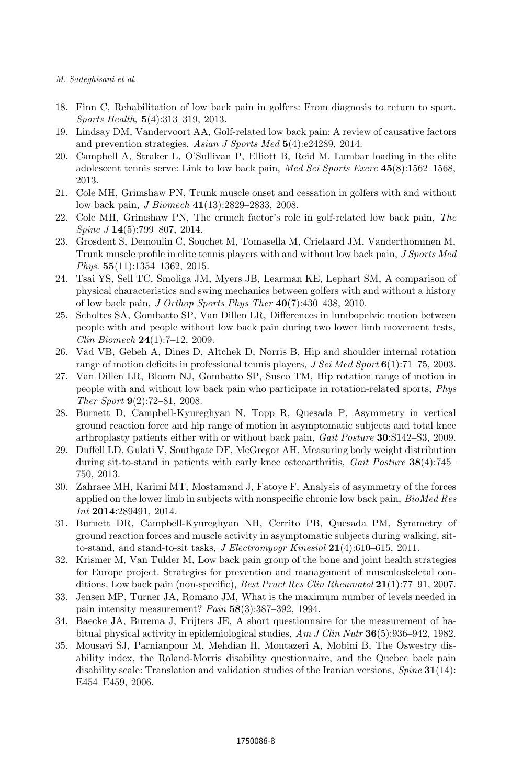- <span id="page-8-0"></span>18. Finn C, Rehabilitation of low back pain in golfers: From diagnosis to return to sport. Sports Health, 5(4):313–319, 2013.
- 19. Lindsay DM, Vandervoort AA, Golf-related low back pain: A review of causative factors and prevention strategies, Asian J Sports Med 5(4):e24289, 2014.
- 20. Campbell A, Straker L, O'Sullivan P, Elliott B, Reid M. Lumbar loading in the elite adolescent tennis serve: Link to low back pain, Med Sci Sports Exerc 45(8):1562–1568, 2013.
- 21. Cole MH, Grimshaw PN, Trunk muscle onset and cessation in golfers with and without low back pain, J Biomech 41(13):2829–2833, 2008.
- 22. Cole MH, Grimshaw PN, The crunch factor's role in golf-related low back pain, The  $Spine\,J\,14(5):799-807,\,2014.$
- 23. Grosdent S, Demoulin C, Souchet M, Tomasella M, Crielaard JM, Vanderthommen M, Trunk muscle profile in elite tennis players with and without low back pain, J Sports Med Phys. 55(11):1354-1362, 2015.
- 24. Tsai YS, Sell TC, Smoliga JM, Myers JB, Learman KE, Lephart SM, A comparison of physical characteristics and swing mechanics between golfers with and without a history of low back pain, J Orthop Sports Phys Ther 40(7):430–438, 2010.
- 25. Scholtes SA, Gombatto SP, Van Dillen LR, Differences in lumbopelvic motion between people with and people without low back pain during two lower limb movement tests, Clin Biomech 24(1):7–12, 2009.
- 26. Vad VB, Gebeh A, Dines D, Altchek D, Norris B, Hip and shoulder internal rotation range of motion deficits in professional tennis players, J Sci Med Sport 6(1):71–75, 2003.
- 27. Van Dillen LR, Bloom NJ, Gombatto SP, Susco TM, Hip rotation range of motion in people with and without low back pain who participate in rotation-related sports, Phys Ther Sport 9(2):72–81, 2008.
- 28. Burnett D, Campbell-Kyureghyan N, Topp R, Quesada P, Asymmetry in vertical ground reaction force and hip range of motion in asymptomatic subjects and total knee arthroplasty patients either with or without back pain, Gait Posture 30:S142–S3, 2009.
- 29. Duffell LD, Gulati V, Southgate DF, McGregor AH, Measuring body weight distribution during sit-to-stand in patients with early knee osteoarthritis, Gait Posture 38(4):745– 750, 2013.
- 30. Zahraee MH, Karimi MT, Mostamand J, Fatoye F, Analysis of asymmetry of the forces applied on the lower limb in subjects with nonspecific chronic low back pain, *BioMed Res* Int 2014:289491, 2014.
- 31. Burnett DR, Campbell-Kyureghyan NH, Cerrito PB, Quesada PM, Symmetry of ground reaction forces and muscle activity in asymptomatic subjects during walking, sitto-stand, and stand-to-sit tasks, *J Electromyogr Kinesiol*  $21(4):610-615$ ,  $2011$ .
- 32. Krismer M, Van Tulder M, Low back pain group of the bone and joint health strategies for Europe project. Strategies for prevention and management of musculoskeletal conditions. Low back pain (non-specific), Best Pract Res Clin Rheumatol 21(1):77–91, 2007.
- 33. Jensen MP, Turner JA, Romano JM, What is the maximum number of levels needed in pain intensity measurement? Pain 58(3):387–392, 1994.
- 34. Baecke JA, Burema J, Frijters JE, A short questionnaire for the measurement of habitual physical activity in epidemiological studies,  $Am J Clin Nutr$  36(5):936–942, 1982.
- 35. Mousavi SJ, Parnianpour M, Mehdian H, Montazeri A, Mobini B, The Oswestry disability index, the Roland-Morris disability questionnaire, and the Quebec back pain disability scale: Translation and validation studies of the Iranian versions,  $Spine 31(14)$ : E454–E459, 2006.